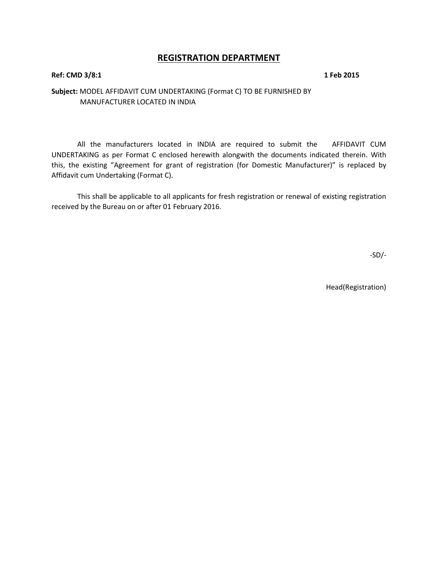## **REGISTRATION DEPARTMENT**

#### **Ref: CMD 3/8:1 1 Feb 2015**

### **Subject:** MODEL AFFIDAVIT CUM UNDERTAKING (Format C) TO BE FURNISHED BY MANUFACTURER LOCATED IN INDIA

All the manufacturers located in INDIA are required to submit the AFFIDAVIT CUM UNDERTAKING as per Format C enclosed herewith alongwith the documents indicated therein. With this, the existing "Agreement for grant of registration (for Domestic Manufacturer)" is replaced by Affidavit cum Undertaking (Format C).

This shall be applicable to all applicants for fresh registration or renewal of existing registration received by the Bureau on or after 01 February 2016.

-SD/-

Head(Registration)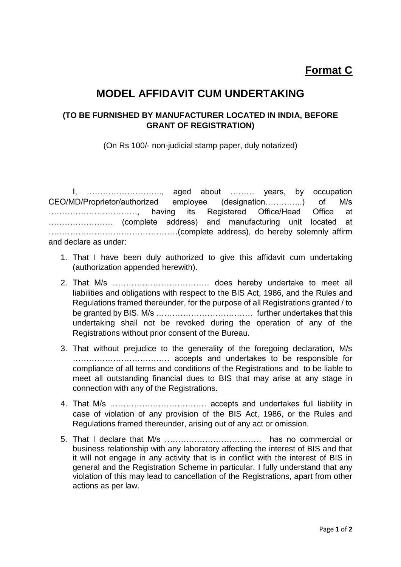# **Format C**

# **MODEL AFFIDAVIT CUM UNDERTAKING**

## **(TO BE FURNISHED BY MANUFACTURER LOCATED IN INDIA, BEFORE GRANT OF REGISTRATION)**

(On Rs 100/- non-judicial stamp paper, duly notarized)

I, ………………………., aged about ……… years, by occupation CEO/MD/Proprietor/authorized employee (designation…………..) of M/s ……………………………, having its Registered Office/Head Office at …………………… (complete address) and manufacturing unit located at …………………………………………(complete address), do hereby solemnly affirm and declare as under:

- 1. That I have been duly authorized to give this affidavit cum undertaking (authorization appended herewith).
- 2. That M/s ……………………………… does hereby undertake to meet all liabilities and obligations with respect to the BIS Act, 1986, and the Rules and Regulations framed thereunder, for the purpose of all Registrations granted / to be granted by BIS. M/s ……………………………… further undertakes that this undertaking shall not be revoked during the operation of any of the Registrations without prior consent of the Bureau.
- 3. That without prejudice to the generality of the foregoing declaration, M/s ……………………………… accepts and undertakes to be responsible for compliance of all terms and conditions of the Registrations and to be liable to meet all outstanding financial dues to BIS that may arise at any stage in connection with any of the Registrations.
- 4. That M/s ……………………………… accepts and undertakes full liability in case of violation of any provision of the BIS Act, 1986, or the Rules and Regulations framed thereunder, arising out of any act or omission.
- 5. That I declare that M/s ……………………………… has no commercial or business relationship with any laboratory affecting the interest of BIS and that it will not engage in any activity that is in conflict with the interest of BIS in general and the Registration Scheme in particular. I fully understand that any violation of this may lead to cancellation of the Registrations, apart from other actions as per law.